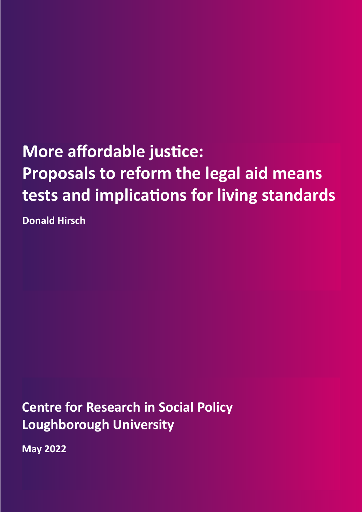# **More affordable justice: Proposals to reform the legal aid means tests and implications for living standards**

**Donald Hirsch**

**Centre for Research in Social Policy Loughborough University**

**May 2022**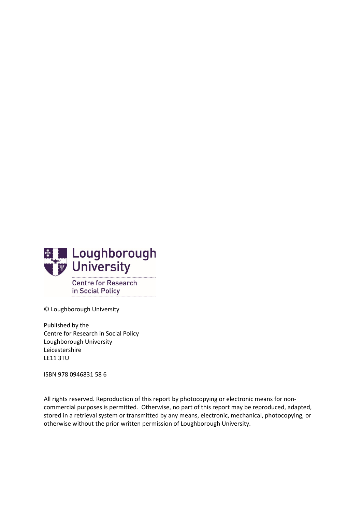

© Loughborough University

Published by the Centre for Research in Social Policy Loughborough University Leicestershire LE11 3TU

ISBN 978 0946831 58 6

All rights reserved. Reproduction of this report by photocopying or electronic means for noncommercial purposes is permitted. Otherwise, no part of this report may be reproduced, adapted, stored in a retrieval system or transmitted by any means, electronic, mechanical, photocopying, or otherwise without the prior written permission of Loughborough University.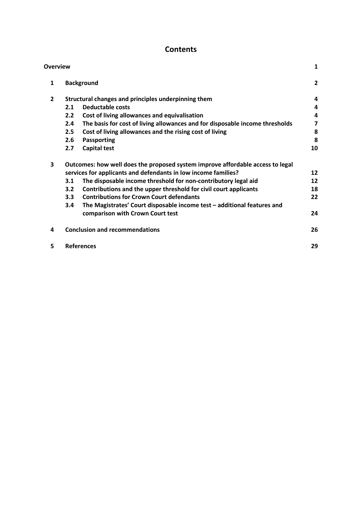# **Contents**

| <b>Overview</b> |     |                                                                                | 1              |
|-----------------|-----|--------------------------------------------------------------------------------|----------------|
| 1               |     | <b>Background</b>                                                              | $\overline{2}$ |
| $\overline{2}$  |     | Structural changes and principles underpinning them                            | 4              |
|                 | 2.1 | <b>Deductable costs</b>                                                        | 4              |
|                 | 2.2 | Cost of living allowances and equivalisation                                   | 4              |
|                 | 2.4 | The basis for cost of living allowances and for disposable income thresholds   | 7              |
|                 | 2.5 | Cost of living allowances and the rising cost of living                        | 8              |
|                 | 2.6 | Passporting                                                                    | 8              |
|                 | 2.7 | <b>Capital test</b>                                                            | 10             |
| 3               |     | Outcomes: how well does the proposed system improve affordable access to legal |                |
|                 |     | services for applicants and defendants in low income families?                 | 12             |
|                 | 3.1 | The disposable income threshold for non-contributory legal aid                 | 12             |
|                 | 3.2 | Contributions and the upper threshold for civil court applicants               | 18             |
|                 | 3.3 | <b>Contributions for Crown Court defendants</b>                                | 22             |
|                 | 3.4 | The Magistrates' Court disposable income test - additional features and        |                |
|                 |     | comparison with Crown Court test                                               | 24             |
| 4               |     | <b>Conclusion and recommendations</b>                                          | 26             |
| 5               |     | <b>References</b>                                                              | 29             |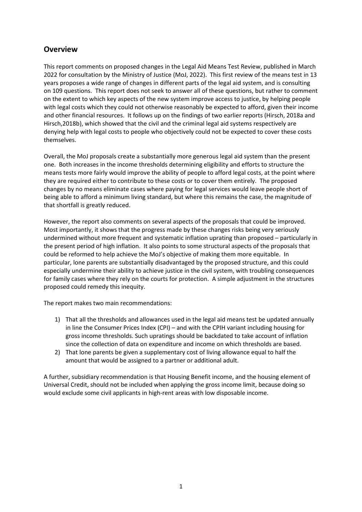# <span id="page-3-0"></span>**Overview**

This report comments on proposed changes in the Legal Aid Means Test Review, published in March 2022 for consultation by the Ministry of Justice (MoJ, 2022). This first review of the means test in 13 years proposes a wide range of changes in different parts of the legal aid system, and is consulting on 109 questions. This report does not seek to answer all of these questions, but rather to comment on the extent to which key aspects of the new system improve access to justice, by helping people with legal costs which they could not otherwise reasonably be expected to afford, given their income and other financial resources. It follows up on the findings of two earlier reports (Hirsch, 2018a and Hirsch,2018b), which showed that the civil and the criminal legal aid systems respectively are denying help with legal costs to people who objectively could not be expected to cover these costs themselves.

Overall, the MoJ proposals create a substantially more generous legal aid system than the present one. Both increases in the income thresholds determining eligibility and efforts to structure the means tests more fairly would improve the ability of people to afford legal costs, at the point where they are required either to contribute to these costs or to cover them entirely. The proposed changes by no means eliminate cases where paying for legal services would leave people short of being able to afford a minimum living standard, but where this remains the case, the magnitude of that shortfall is greatly reduced.

However, the report also comments on several aspects of the proposals that could be improved. Most importantly, it shows that the progress made by these changes risks being very seriously undermined without more frequent and systematic inflation uprating than proposed – particularly in the present period of high inflation. It also points to some structural aspects of the proposals that could be reformed to help achieve the MoJ's objective of making them more equitable. In particular, lone parents are substantially disadvantaged by the proposed structure, and this could especially undermine their ability to achieve justice in the civil system, with troubling consequences for family cases where they rely on the courts for protection. A simple adjustment in the structures proposed could remedy this inequity.

The report makes two main recommendations:

- 1) That all the thresholds and allowances used in the legal aid means test be updated annually in line the Consumer Prices Index (CPI) – and with the CPIH variant including housing for gross income thresholds. Such upratings should be backdated to take account of inflation since the collection of data on expenditure and income on which thresholds are based.
- 2) That lone parents be given a supplementary cost of living allowance equal to half the amount that would be assigned to a partner or additional adult.

A further, subsidiary recommendation is that Housing Benefit income, and the housing element of Universal Credit, should not be included when applying the gross income limit, because doing so would exclude some civil applicants in high-rent areas with low disposable income.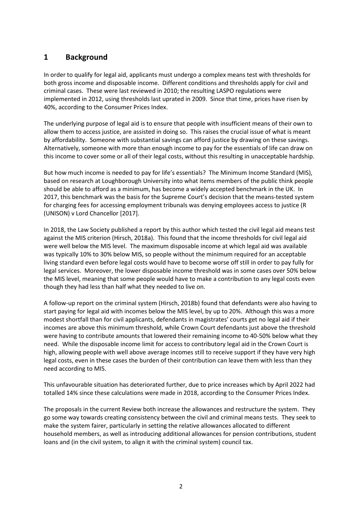# <span id="page-4-0"></span>**1 Background**

In order to qualify for legal aid, applicants must undergo a complex means test with thresholds for both gross income and disposable income. Different conditions and thresholds apply for civil and criminal cases. These were last reviewed in 2010; the resulting LASPO regulations were implemented in 2012, using thresholds last uprated in 2009. Since that time, prices have risen by 40%, according to the Consumer Prices Index.

The underlying purpose of legal aid is to ensure that people with insufficient means of their own to allow them to access justice, are assisted in doing so. This raises the crucial issue of what is meant by affordability. Someone with substantial savings can afford justice by drawing on these savings. Alternatively, someone with more than enough income to pay for the essentials of life can draw on this income to cover some or all of their legal costs, without this resulting in unacceptable hardship.

But how much income is needed to pay for life's essentials? The Minimum Income Standard (MIS), based on research at Loughborough University into what items members of the public think people should be able to afford as a minimum, has become a widely accepted benchmark in the UK. In 2017, this benchmark was the basis for the Supreme Court's decision that the means-tested system for charging fees for accessing employment tribunals was denying employees access to justice (R (UNISON) v Lord Chancellor [2017].

In 2018, the Law Society published a report by this author which tested the civil legal aid means test against the MIS criterion (Hirsch, 2018a). This found that the income thresholds for civil legal aid were well below the MIS level. The maximum disposable income at which legal aid was available was typically 10% to 30% below MIS, so people without the minimum required for an acceptable living standard even before legal costs would have to become worse off still in order to pay fully for legal services. Moreover, the lower disposable income threshold was in some cases over 50% below the MIS level, meaning that some people would have to make a contribution to any legal costs even though they had less than half what they needed to live on.

A follow-up report on the criminal system (Hirsch, 2018b) found that defendants were also having to start paying for legal aid with incomes below the MIS level, by up to 20%. Although this was a more modest shortfall than for civil applicants, defendants in magistrates' courts get no legal aid if their incomes are above this minimum threshold, while Crown Court defendants just above the threshold were having to contribute amounts that lowered their remaining income to 40-50% below what they need. While the disposable income limit for access to contributory legal aid in the Crown Court is high, allowing people with well above average incomes still to receive support if they have very high legal costs, even in these cases the burden of their contribution can leave them with less than they need according to MIS.

This unfavourable situation has deteriorated further, due to price increases which by April 2022 had totalled 14% since these calculations were made in 2018, according to the Consumer Prices Index.

The proposals in the current Review both increase the allowances and restructure the system. They go some way towards creating consistency between the civil and criminal means tests. They seek to make the system fairer, particularly in setting the relative allowances allocated to different household members, as well as introducing additional allowances for pension contributions, student loans and (in the civil system, to align it with the criminal system) council tax.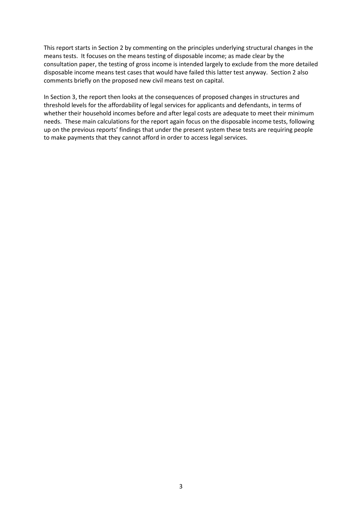This report starts in Section 2 by commenting on the principles underlying structural changes in the means tests. It focuses on the means testing of disposable income; as made clear by the consultation paper, the testing of gross income is intended largely to exclude from the more detailed disposable income means test cases that would have failed this latter test anyway. Section 2 also comments briefly on the proposed new civil means test on capital.

In Section 3, the report then looks at the consequences of proposed changes in structures and threshold levels for the affordability of legal services for applicants and defendants, in terms of whether their household incomes before and after legal costs are adequate to meet their minimum needs. These main calculations for the report again focus on the disposable income tests, following up on the previous reports' findings that under the present system these tests are requiring people to make payments that they cannot afford in order to access legal services.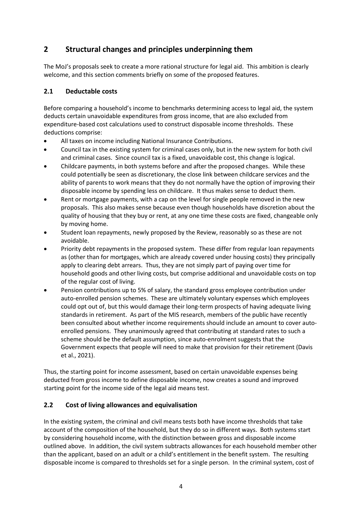# <span id="page-6-0"></span>**2 Structural changes and principles underpinning them**

The MoJ's proposals seek to create a more rational structure for legal aid. This ambition is clearly welcome, and this section comments briefly on some of the proposed features.

# <span id="page-6-1"></span>**2.1 Deductable costs**

Before comparing a household's income to benchmarks determining access to legal aid, the system deducts certain unavoidable expenditures from gross income, that are also excluded from expenditure-based cost calculations used to construct disposable income thresholds. These deductions comprise:

- All taxes on income including National Insurance Contributions.
- Council tax in the existing system for criminal cases only, but in the new system for both civil and criminal cases. Since council tax is a fixed, unavoidable cost, this change is logical.
- Childcare payments, in both systems before and after the proposed changes. While these could potentially be seen as discretionary, the close link between childcare services and the ability of parents to work means that they do not normally have the option of improving their disposable income by spending less on childcare. It thus makes sense to deduct them.
- Rent or mortgage payments, with a cap on the level for single people removed in the new proposals. This also makes sense because even though households have discretion about the quality of housing that they buy or rent, at any one time these costs are fixed, changeable only by moving home.
- Student loan repayments, newly proposed by the Review, reasonably so as these are not avoidable.
- Priority debt repayments in the proposed system. These differ from regular loan repayments as (other than for mortgages, which are already covered under housing costs) they principally apply to clearing debt arrears. Thus, they are not simply part of paying over time for household goods and other living costs, but comprise additional and unavoidable costs on top of the regular cost of living.
- Pension contributions up to 5% of salary, the standard gross employee contribution under auto-enrolled pension schemes. These are ultimately voluntary expenses which employees could opt out of, but this would damage their long-term prospects of having adequate living standards in retirement. As part of the MIS research, members of the public have recently been consulted about whether income requirements should include an amount to cover autoenrolled pensions. They unanimously agreed that contributing at standard rates to such a scheme should be the default assumption, since auto-enrolment suggests that the Government expects that people will need to make that provision for their retirement (Davis et al., 2021).

Thus, the starting point for income assessment, based on certain unavoidable expenses being deducted from gross income to define disposable income, now creates a sound and improved starting point for the income side of the legal aid means test.

## <span id="page-6-2"></span>**2.2 Cost of living allowances and equivalisation**

In the existing system, the criminal and civil means tests both have income thresholds that take account of the composition of the household, but they do so in different ways. Both systems start by considering household income, with the distinction between gross and disposable income outlined above. In addition, the civil system subtracts allowances for each household member other than the applicant, based on an adult or a child's entitlement in the benefit system. The resulting disposable income is compared to thresholds set for a single person. In the criminal system, cost of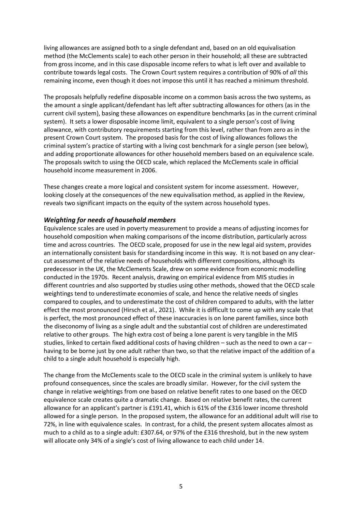living allowances are assigned both to a single defendant and, based on an old equivalisation method (the McClements scale) to each other person in their household; all these are subtracted from gross income, and in this case disposable income refers to what is left over and available to contribute towards legal costs. The Crown Court system requires a contribution of 90% of *all* this remaining income, even though it does not impose this until it has reached a minimum threshold.

The proposals helpfully redefine disposable income on a common basis across the two systems, as the amount a single applicant/defendant has left after subtracting allowances for others (as in the current civil system), basing these allowances on expenditure benchmarks (as in the current criminal system). It sets a lower disposable income limit, equivalent to a single person's cost of living allowance, with contributory requirements starting from this level, rather than from zero as in the present Crown Court system. The proposed basis for the cost of living allowances follows the criminal system's practice of starting with a living cost benchmark for a single person (see below), and adding proportionate allowances for other household members based on an equivalence scale. The proposals switch to using the OECD scale, which replaced the McClements scale in official household income measurement in 2006.

These changes create a more logical and consistent system for income assessment. However, looking closely at the consequences of the new equivalisation method, as applied in the Review, reveals two significant impacts on the equity of the system across household types.

#### *Weighting for needs of household members*

Equivalence scales are used in poverty measurement to provide a means of adjusting incomes for household composition when making comparisons of the income distribution, particularly across time and across countries. The OECD scale, proposed for use in the new legal aid system, provides an internationally consistent basis for standardising income in this way. It is not based on any clearcut assessment of the relative needs of households with different compositions, although its predecessor in the UK, the McClements Scale, drew on some evidence from economic modelling conducted in the 1970s. Recent analysis, drawing on empirical evidence from MIS studies in different countries and also supported by studies using other methods, showed that the OECD scale weightings tend to underestimate economies of scale, and hence the relative needs of singles compared to couples, and to underestimate the cost of children compared to adults, with the latter effect the most pronounced (Hirsch et al., 2021). While it is difficult to come up with any scale that is perfect, the most pronounced effect of these inaccuracies is on lone parent families, since both the diseconomy of living as a single adult and the substantial cost of children are underestimated relative to other groups. The high extra cost of being a lone parent is very tangible in the MIS studies, linked to certain fixed additional costs of having children – such as the need to own a car – having to be borne just by one adult rather than two, so that the relative impact of the addition of a child to a single adult household is especially high.

The change from the McClements scale to the OECD scale in the criminal system is unlikely to have profound consequences, since the scales are broadly similar. However, for the civil system the change in relative weightings from one based on relative benefit rates to one based on the OECD equivalence scale creates quite a dramatic change. Based on relative benefit rates, the current allowance for an applicant's partner is £191.41, which is 61% of the £316 lower income threshold allowed for a single person. In the proposed system, the allowance for an additional adult will rise to 72%, in line with equivalence scales. In contrast, for a child, the present system allocates almost as much to a child as to a single adult: £307.64, or 97% of the £316 threshold, but in the new system will allocate only 34% of a single's cost of living allowance to each child under 14.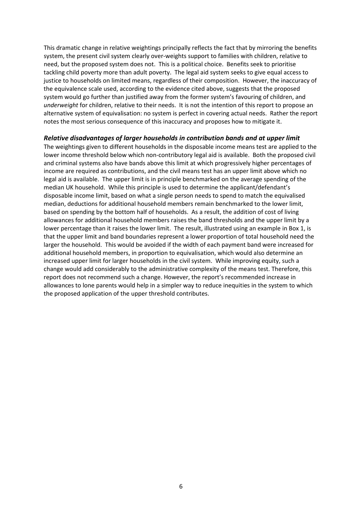This dramatic change in relative weightings principally reflects the fact that by mirroring the benefits system, the present civil system clearly over-weights support to families with children, relative to need, but the proposed system does not. This is a political choice. Benefits seek to prioritise tackling child poverty more than adult poverty. The legal aid system seeks to give equal access to justice to households on limited means, regardless of their composition. However, the inaccuracy of the equivalence scale used, according to the evidence cited above, suggests that the proposed system would go further than justified away from the former system's favouring of children, and *underweight* for children, relative to their needs. It is not the intention of this report to propose an alternative system of equivalisation: no system is perfect in covering actual needs. Rather the report notes the most serious consequence of this inaccuracy and proposes how to mitigate it.

#### *Relative disadvantages of larger households in contribution bands and at upper limit*

The weightings given to different households in the disposable income means test are applied to the lower income threshold below which non-contributory legal aid is available. Both the proposed civil and criminal systems also have bands above this limit at which progressively higher percentages of income are required as contributions, and the civil means test has an upper limit above which no legal aid is available. The upper limit is in principle benchmarked on the average spending of the median UK household. While this principle is used to determine the applicant/defendant's disposable income limit, based on what a single person needs to spend to match the equivalised median, deductions for additional household members remain benchmarked to the lower limit, based on spending by the bottom half of households. As a result, the addition of cost of living allowances for additional household members raises the band thresholds and the upper limit by a lower percentage than it raises the lower limit. The result, illustrated using an example in Box 1, is that the upper limit and band boundaries represent a lower proportion of total household need the larger the household. This would be avoided if the width of each payment band were increased for additional household members, in proportion to equivalisation, which would also determine an increased upper limit for larger households in the civil system. While improving equity, such a change would add considerably to the administrative complexity of the means test. Therefore, this report does not recommend such a change. However, the report's recommended increase in allowances to lone parents would help in a simpler way to reduce inequities in the system to which the proposed application of the upper threshold contributes.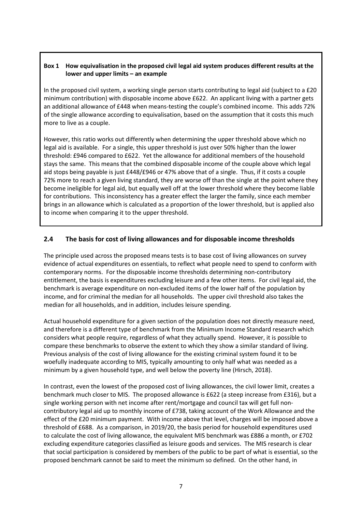#### **Box 1 How equivalisation in the proposed civil legal aid system produces different results at the lower and upper limits – an example**

In the proposed civil system, a working single person starts contributing to legal aid (subject to a £20 minimum contribution) with disposable income above £622. An applicant living with a partner gets an additional allowance of £448 when means-testing the couple's combined income. This adds 72% of the single allowance according to equivalisation, based on the assumption that it costs this much more to live as a couple.

However, this ratio works out differently when determining the upper threshold above which no legal aid is available. For a single, this upper threshold is just over 50% higher than the lower threshold: £946 compared to £622. Yet the allowance for additional members of the household stays the same. This means that the combined disposable income of the couple above which legal aid stops being payable is just £448/£946 or 47% above that of a single. Thus, if it costs a couple 72% more to reach a given living standard, they are worse off than the single at the point where they become ineligible for legal aid, but equally well off at the lower threshold where they become liable for contributions. This inconsistency has a greater effect the larger the family, since each member brings in an allowance which is calculated as a proportion of the lower threshold, but is applied also to income when comparing it to the upper threshold.

#### <span id="page-9-0"></span>**2.4 The basis for cost of living allowances and for disposable income thresholds**

The principle used across the proposed means tests is to base cost of living allowances on survey evidence of actual expenditures on essentials, to reflect what people need to spend to conform with contemporary norms. For the disposable income thresholds determining non-contributory entitlement, the basis is expenditures excluding leisure and a few other items. For civil legal aid, the benchmark is average expenditure on non-excluded items of the lower half of the population by income, and for criminal the median for all households. The upper civil threshold also takes the median for all households, and in addition, includes leisure spending.

Actual household expenditure for a given section of the population does not directly measure need, and therefore is a different type of benchmark from the Minimum Income Standard research which considers what people require, regardless of what they actually spend. However, it is possible to compare these benchmarks to observe the extent to which they show a similar standard of living. Previous analysis of the cost of living allowance for the existing criminal system found it to be woefully inadequate according to MIS, typically amounting to only half what was needed as a minimum by a given household type, and well below the poverty line (Hirsch, 2018).

In contrast, even the lowest of the proposed cost of living allowances, the civil lower limit, creates a benchmark much closer to MIS. The proposed allowance is £622 (a steep increase from £316), but a single working person with net income after rent/mortgage and council tax will get full noncontributory legal aid up to monthly income of £738, taking account of the Work Allowance and the effect of the £20 minimum payment. With income above that level, charges will be imposed above a threshold of £688. As a comparison, in 2019/20, the basis period for household expenditures used to calculate the cost of living allowance, the equivalent MIS benchmark was £886 a month, or £702 excluding expenditure categories classified as leisure goods and services. The MIS research is clear that social participation is considered by members of the public to be part of what is essential, so the proposed benchmark cannot be said to meet the minimum so defined. On the other hand, in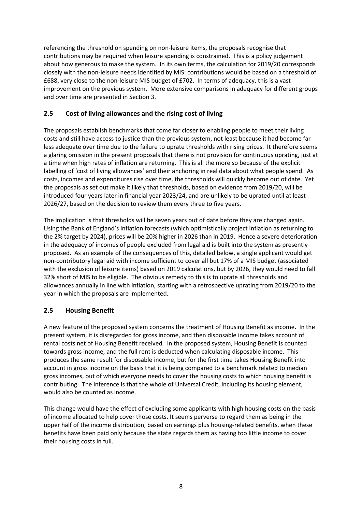referencing the threshold on spending on non-leisure items, the proposals recognise that contributions may be required when leisure spending is constrained. This is a policy judgement about how generous to make the system. In its own terms, the calculation for 2019/20 corresponds closely with the non-leisure needs identified by MIS: contributions would be based on a threshold of £688, very close to the non-leisure MIS budget of £702. In terms of adequacy, this is a vast improvement on the previous system. More extensive comparisons in adequacy for different groups and over time are presented in Section 3.

# <span id="page-10-0"></span>**2.5 Cost of living allowances and the rising cost of living**

The proposals establish benchmarks that come far closer to enabling people to meet their living costs and still have access to justice than the previous system, not least because it had become far less adequate over time due to the failure to uprate thresholds with rising prices. It therefore seems a glaring omission in the present proposals that there is not provision for continuous uprating, just at a time when high rates of inflation are returning. This is all the more so because of the explicit labelling of 'cost of living allowances' and their anchoring in real data about what people spend. As costs, incomes and expenditures rise over time, the thresholds will quickly become out of date. Yet the proposals as set out make it likely that thresholds, based on evidence from 2019/20, will be introduced four years later in financial year 2023/24, and are unlikely to be uprated until at least 2026/27, based on the decision to review them every three to five years.

The implication is that thresholds will be seven years out of date before they are changed again. Using the Bank of England's inflation forecasts (which optimistically project inflation as returning to the 2% target by 2024), prices will be 20% higher in 2026 than in 2019. Hence a severe deterioration in the adequacy of incomes of people excluded from legal aid is built into the system as presently proposed. As an example of the consequences of this, detailed below, a single applicant would get non-contributory legal aid with income sufficient to cover all but 17% of a MIS budget (associated with the exclusion of leisure items) based on 2019 calculations, but by 2026, they would need to fall 32% short of MIS to be eligible. The obvious remedy to this is to uprate all thresholds and allowances annually in line with inflation, starting with a retrospective uprating from 2019/20 to the year in which the proposals are implemented.

## <span id="page-10-1"></span>**2.5 Housing Benefit**

A new feature of the proposed system concerns the treatment of Housing Benefit as income. In the present system, it is disregarded for gross income, and then disposable income takes account of rental costs net of Housing Benefit received. In the proposed system, Housing Benefit is counted towards gross income, and the full rent is deducted when calculating disposable income. This produces the same result for disposable income, but for the first time takes Housing Benefit into account in gross income on the basis that it is being compared to a benchmark related to median gross incomes, out of which everyone needs to cover the housing costs to which housing benefit is contributing. The inference is that the whole of Universal Credit, including its housing element, would also be counted as income.

This change would have the effect of excluding some applicants with high housing costs on the basis of income allocated to help cover those costs. It seems perverse to regard them as being in the upper half of the income distribution, based on earnings plus housing-related benefits, when these benefits have been paid only because the state regards them as having too little income to cover their housing costs in full.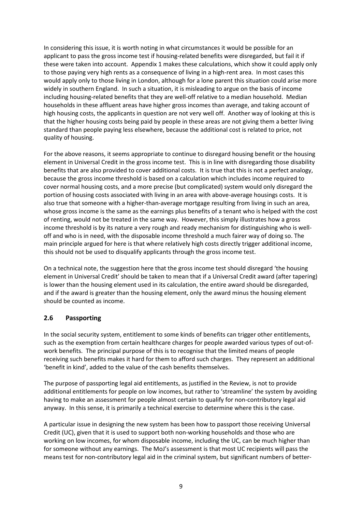In considering this issue, it is worth noting in what circumstances it would be possible for an applicant to pass the gross income test if housing-related benefits were disregarded, but fail it if these were taken into account. Appendix 1 makes these calculations, which show it could apply only to those paying very high rents as a consequence of living in a high-rent area. In most cases this would apply only to those living in London, although for a lone parent this situation could arise more widely in southern England. In such a situation, it is misleading to argue on the basis of income including housing-related benefits that they are well-off relative to a median household. Median households in these affluent areas have higher gross incomes than average, and taking account of high housing costs, the applicants in question are not very well off. Another way of looking at this is that the higher housing costs being paid by people in these areas are not giving them a better living standard than people paying less elsewhere, because the additional cost is related to price, not quality of housing.

For the above reasons, it seems appropriate to continue to disregard housing benefit or the housing element in Universal Credit in the gross income test. This is in line with disregarding those disability benefits that are also provided to cover additional costs. It is true that this is not a perfect analogy, because the gross income threshold is based on a calculation which includes income required to cover normal housing costs, and a more precise (but complicated) system would only disregard the portion of housing costs associated with living in an area with above-average housings costs. It is also true that someone with a higher-than-average mortgage resulting from living in such an area, whose gross income is the same as the earnings plus benefits of a tenant who is helped with the cost of renting, would not be treated in the same way. However, this simply illustrates how a gross income threshold is by its nature a very rough and ready mechanism for distinguishing who is welloff and who is in need, with the disposable income threshold a much fairer way of doing so. The main principle argued for here is that where relatively high costs directly trigger additional income, this should not be used to disqualify applicants through the gross income test.

On a technical note, the suggestion here that the gross income test should disregard 'the housing element in Universal Credit' should be taken to mean that if a Universal Credit award (after tapering) is lower than the housing element used in its calculation, the entire award should be disregarded, and if the award is greater than the housing element, only the award minus the housing element should be counted as income.

#### **2.6 Passporting**

In the social security system, entitlement to some kinds of benefits can trigger other entitlements, such as the exemption from certain healthcare charges for people awarded various types of out-ofwork benefits. The principal purpose of this is to recognise that the limited means of people receiving such benefits makes it hard for them to afford such charges. They represent an additional 'benefit in kind', added to the value of the cash benefits themselves.

The purpose of passporting legal aid entitlements, as justified in the Review, is not to provide additional entitlements for people on low incomes, but rather to 'streamline' the system by avoiding having to make an assessment for people almost certain to qualify for non-contributory legal aid anyway. In this sense, it is primarily a technical exercise to determine where this is the case.

A particular issue in designing the new system has been how to passport those receiving Universal Credit (UC), given that it is used to support both non-working households and those who are working on low incomes, for whom disposable income, including the UC, can be much higher than for someone without any earnings. The MoJ's assessment is that most UC recipients will pass the means test for non-contributory legal aid in the criminal system, but significant numbers of better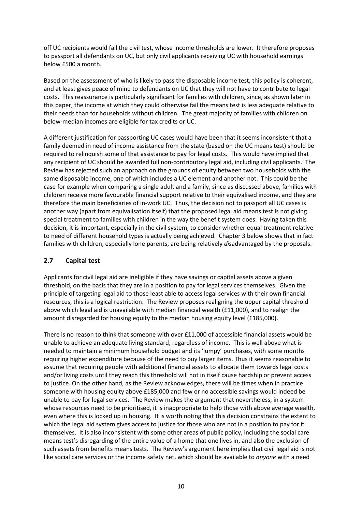off UC recipients would fail the civil test, whose income thresholds are lower. It therefore proposes to passport all defendants on UC, but only civil applicants receiving UC with household earnings below £500 a month.

Based on the assessment of who is likely to pass the disposable income test, this policy is coherent, and at least gives peace of mind to defendants on UC that they will not have to contribute to legal costs. This reassurance is particularly significant for families with children, since, as shown later in this paper, the income at which they could otherwise fail the means test is less adequate relative to their needs than for households without children. The great majority of families with children on below-median incomes are eligible for tax credits or UC.

A different justification for passporting UC cases would have been that it seems inconsistent that a family deemed in need of income assistance from the state (based on the UC means test) should be required to relinquish some of that assistance to pay for legal costs. This would have implied that any recipient of UC should be awarded full non-contributory legal aid, including civil applicants. The Review has rejected such an approach on the grounds of equity between two households with the same disposable income, one of which includes a UC element and another not. This could be the case for example when comparing a single adult and a family, since as discussed above, families with children receive more favourable financial support relative to their equivalised income, and they are therefore the main beneficiaries of in-work UC. Thus, the decision not to passport all UC cases is another way (apart from equivalisation itself) that the proposed legal aid means test is not giving special treatment to families with children in the way the benefit system does. Having taken this decision, it is important, especially in the civil system, to consider whether equal treatment relative to need of different household types is actually being achieved. Chapter 3 below shows that in fact families with children, especially lone parents, are being relatively *dis*advantaged by the proposals.

## <span id="page-12-0"></span>**2.7 Capital test**

Applicants for civil legal aid are ineligible if they have savings or capital assets above a given threshold, on the basis that they are in a position to pay for legal services themselves. Given the principle of targeting legal aid to those least able to access legal services with their own financial resources, this is a logical restriction. The Review proposes realigning the upper capital threshold above which legal aid is unavailable with median financial wealth (£11,000), and to realign the amount disregarded for housing equity to the median housing equity level (£185,000).

There is no reason to think that someone with over £11,000 of accessible financial assets would be unable to achieve an adequate living standard, regardless of income. This is well above what is needed to maintain a minimum household budget and its 'lumpy' purchases, with some months requiring higher expenditure because of the need to buy larger items. Thus it seems reasonable to assume that requiring people with additional financial assets to allocate them towards legal costs and/or living costs until they reach this threshold will not in itself cause hardship or prevent access to justice. On the other hand, as the Review acknowledges, there will be times when in practice someone with housing equity above £185,000 and few or no accessible savings would indeed be unable to pay for legal services. The Review makes the argument that nevertheless, in a system whose resources need to be prioritised, it is inappropriate to help those with above average wealth, even where this is locked up in housing. It is worth noting that this decision constrains the extent to which the legal aid system gives access to justice for those who are not in a position to pay for it themselves. It is also inconsistent with some other areas of public policy, including the social care means test's disregarding of the entire value of a home that one lives in, and also the exclusion of such assets from benefits means tests. The Review's argument here implies that civil legal aid is not like social care services or the income safety net, which should be available to *anyone* with a need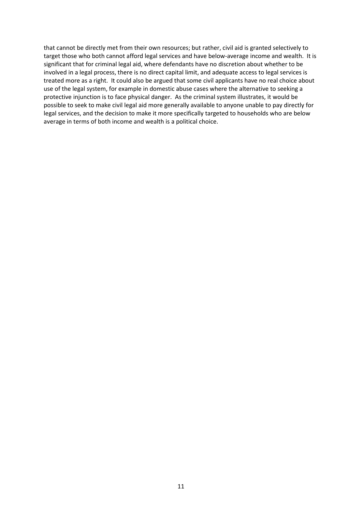that cannot be directly met from their own resources; but rather, civil aid is granted selectively to target those who both cannot afford legal services and have below-average income and wealth. It is significant that for criminal legal aid, where defendants have no discretion about whether to be involved in a legal process, there is no direct capital limit, and adequate access to legal services is treated more as a right. It could also be argued that some civil applicants have no real choice about use of the legal system, for example in domestic abuse cases where the alternative to seeking a protective injunction is to face physical danger. As the criminal system illustrates, it would be possible to seek to make civil legal aid more generally available to anyone unable to pay directly for legal services, and the decision to make it more specifically targeted to households who are below average in terms of both income and wealth is a political choice.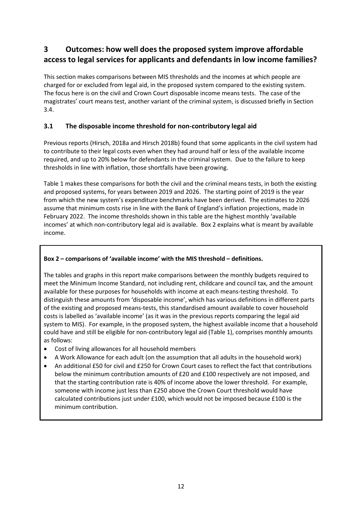# <span id="page-14-0"></span>**3 Outcomes: how well does the proposed system improve affordable access to legal services for applicants and defendants in low income families?**

This section makes comparisons between MIS thresholds and the incomes at which people are charged for or excluded from legal aid, in the proposed system compared to the existing system. The focus here is on the civil and Crown Court disposable income means tests. The case of the magistrates' court means test, another variant of the criminal system, is discussed briefly in Section 3.4.

# <span id="page-14-1"></span>**3.1 The disposable income threshold for non-contributory legal aid**

Previous reports (Hirsch, 2018a and Hirsch 2018b) found that some applicants in the civil system had to contribute to their legal costs even when they had around half or less of the available income required, and up to 20% below for defendants in the criminal system. Due to the failure to keep thresholds in line with inflation, those shortfalls have been growing.

Table 1 makes these comparisons for both the civil and the criminal means tests, in both the existing and proposed systems, for years between 2019 and 2026. The starting point of 2019 is the year from which the new system's expenditure benchmarks have been derived. The estimates to 2026 assume that minimum costs rise in line with the Bank of England's inflation projections, made in February 2022. The income thresholds shown in this table are the highest monthly 'available incomes' at which non-contributory legal aid is available. Box 2 explains what is meant by available income.

### **Box 2 – comparisons of 'available income' with the MIS threshold – definitions.**

The tables and graphs in this report make comparisons between the monthly budgets required to meet the Minimum Income Standard, not including rent, childcare and council tax, and the amount available for these purposes for households with income at each means-testing threshold. To distinguish these amounts from 'disposable income', which has various definitions in different parts of the existing and proposed means-tests, this standardised amount available to cover household costs is labelled as 'available income' (as it was in the previous reports comparing the legal aid system to MIS). For example, in the proposed system, the highest available income that a household could have and still be eligible for non-contributory legal aid (Table 1), comprises monthly amounts as follows:

- Cost of living allowances for all household members
- A Work Allowance for each adult (on the assumption that all adults in the household work)
- An additional £50 for civil and £250 for Crown Court cases to reflect the fact that contributions below the minimum contribution amounts of £20 and £100 respectively are not imposed, and that the starting contribution rate is 40% of income above the lower threshold. For example, someone with income just less than £250 above the Crown Court threshold would have calculated contributions just under £100, which would not be imposed because £100 is the minimum contribution.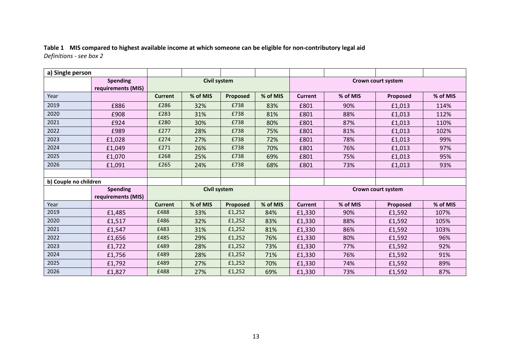#### **Table 1 MIS compared to highest available income at which someone can be eligible for non-contributory legal aid** *Definitions - see box 2*

| a) Single person                      |                                       |                |                     |          |          |                    |          |                    |          |
|---------------------------------------|---------------------------------------|----------------|---------------------|----------|----------|--------------------|----------|--------------------|----------|
| <b>Spending</b><br>requirements (MIS) |                                       |                | <b>Civil system</b> |          |          | Crown court system |          |                    |          |
| Year                                  |                                       | <b>Current</b> | % of MIS            | Proposed | % of MIS | <b>Current</b>     | % of MIS | Proposed           | % of MIS |
| 2019                                  | £886                                  | £286           | 32%                 | £738     | 83%      | £801               | 90%      | £1,013             | 114%     |
| 2020                                  | £908                                  | £283           | 31%                 | £738     | 81%      | £801               | 88%      | £1,013             | 112%     |
| 2021                                  | £924                                  | £280           | 30%                 | £738     | 80%      | £801               | 87%      | £1,013             | 110%     |
| 2022                                  | £989                                  | £277           | 28%                 | £738     | 75%      | £801               | 81%      | £1,013             | 102%     |
| 2023                                  | £1,028                                | £274           | 27%                 | £738     | 72%      | £801               | 78%      | £1,013             | 99%      |
| 2024                                  | £1,049                                | £271           | 26%                 | £738     | 70%      | £801               | 76%      | £1,013             | 97%      |
| 2025                                  | £1,070                                | £268           | 25%                 | £738     | 69%      | £801               | 75%      | £1,013             | 95%      |
| 2026                                  | £1,091                                | £265           | 24%                 | £738     | 68%      | £801               | 73%      | £1,013             | 93%      |
|                                       |                                       |                |                     |          |          |                    |          |                    |          |
| b) Couple no children                 |                                       |                |                     |          |          |                    |          |                    |          |
|                                       | <b>Spending</b><br>requirements (MIS) | Civil system   |                     |          |          |                    |          | Crown court system |          |
| Year                                  |                                       | <b>Current</b> | % of MIS            | Proposed | % of MIS | <b>Current</b>     | % of MIS | Proposed           | % of MIS |
| 2019                                  | £1,485                                | £488           | 33%                 | £1,252   | 84%      | £1,330             | 90%      | £1,592             | 107%     |
| 2020                                  | £1,517                                | £486           | 32%                 | £1,252   | 83%      | £1,330             | 88%      | £1,592             | 105%     |
| 2021                                  | £1,547                                | £483           | 31%                 | £1,252   | 81%      | £1,330             | 86%      | £1,592             | 103%     |
| 2022                                  | £1,656                                | £485           | 29%                 | £1,252   | 76%      | £1,330             | 80%      | £1,592             | 96%      |
| 2023                                  | £1,722                                | £489           | 28%                 | £1,252   | 73%      | £1,330             | 77%      | £1,592             | 92%      |
| 2024                                  | £1,756                                | £489           | 28%                 | £1,252   | 71%      | £1,330             | 76%      | £1,592             | 91%      |
| 2025                                  | £1,792                                | £489           | 27%                 | £1,252   | 70%      | £1,330             | 74%      | £1,592             | 89%      |
| 2026                                  | £1,827                                | £488           | 27%                 | £1,252   | 69%      | £1,330             | 73%      | £1,592             | 87%      |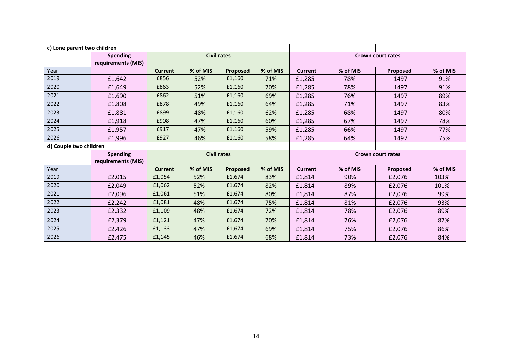| c) Lone parent two children |                    |                |                    |                 |          |                          |          |                          |          |
|-----------------------------|--------------------|----------------|--------------------|-----------------|----------|--------------------------|----------|--------------------------|----------|
|                             | <b>Spending</b>    |                | <b>Civil rates</b> |                 |          | <b>Crown court rates</b> |          |                          |          |
|                             | requirements (MIS) |                |                    |                 |          |                          |          |                          |          |
| Year                        |                    | <b>Current</b> | % of MIS           | <b>Proposed</b> | % of MIS | <b>Current</b>           | % of MIS | Proposed                 | % of MIS |
| 2019                        | £1,642             | £856           | 52%                | £1,160          | 71%      | £1,285                   | 78%      | 1497                     | 91%      |
| 2020                        | £1,649             | £863           | 52%                | £1,160          | 70%      | £1,285                   | 78%      | 1497                     | 91%      |
| 2021                        | £1,690             | £862           | 51%                | £1,160          | 69%      | £1,285                   | 76%      | 1497                     | 89%      |
| 2022                        | £1,808             | £878           | 49%                | £1,160          | 64%      | £1,285                   | 71%      | 1497                     | 83%      |
| 2023                        | £1,881             | £899           | 48%                | £1,160          | 62%      | £1,285                   | 68%      | 1497                     | 80%      |
| 2024                        | £1,918             | £908           | 47%                | £1,160          | 60%      | £1,285                   | 67%      | 1497                     | 78%      |
| 2025                        | £1,957             | £917           | 47%                | £1,160          | 59%      | £1,285                   | 66%      | 1497                     | 77%      |
| 2026                        | £1,996             | £927           | 46%                | £1,160          | 58%      | £1,285                   | 64%      | 1497                     | 75%      |
| d) Couple two children      |                    |                |                    |                 |          |                          |          |                          |          |
| <b>Spending</b>             |                    |                | <b>Civil rates</b> |                 |          |                          |          | <b>Crown court rates</b> |          |
|                             | requirements (MIS) |                |                    |                 |          |                          |          |                          |          |
| Year                        |                    | <b>Current</b> | % of MIS           | <b>Proposed</b> | % of MIS | <b>Current</b>           | % of MIS | Proposed                 | % of MIS |
| 2019                        | £2,015             | £1,054         | 52%                | £1,674          | 83%      | £1,814                   | 90%      | £2,076                   | 103%     |
| 2020                        | £2,049             | £1,062         | 52%                | £1,674          | 82%      | £1,814                   | 89%      | £2,076                   | 101%     |
| 2021                        | £2,096             | £1,061         | 51%                | £1,674          | 80%      | £1,814                   | 87%      | £2,076                   | 99%      |
| 2022                        | £2,242             | £1,081         | 48%                | £1,674          | 75%      | £1,814                   | 81%      | £2,076                   | 93%      |
| 2023                        | £2,332             | £1,109         | 48%                | £1,674          | 72%      | £1,814                   | 78%      | £2,076                   | 89%      |
|                             |                    |                |                    |                 |          |                          |          |                          | 87%      |
| 2024                        | £2,379             | £1,121         | 47%                | £1,674          | 70%      | £1,814                   | 76%      | £2,076                   |          |
| 2025                        | £2,426             | £1,133         | 47%                | £1,674          | 69%      | £1,814                   | 75%      | £2,076                   | 86%      |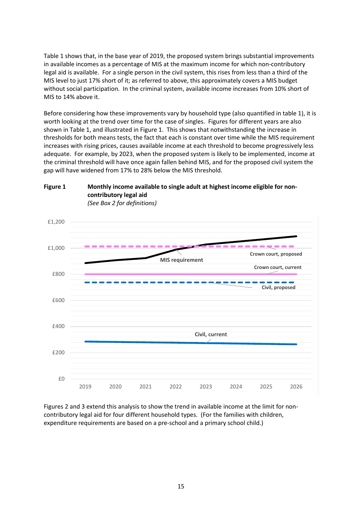Table 1 shows that, in the base year of 2019, the proposed system brings substantial improvements in available incomes as a percentage of MIS at the maximum income for which non-contributory legal aid is available. For a single person in the civil system, this rises from less than a third of the MIS level to just 17% short of it; as referred to above, this approximately covers a MIS budget without social participation. In the criminal system, available income increases from 10% short of MIS to 14% above it.

Before considering how these improvements vary by household type (also quantified in table 1), it is worth looking at the trend over time for the case of singles. Figures for different years are also shown in Table 1, and illustrated in Figure 1. This shows that notwithstanding the increase in thresholds for both means tests, the fact that each is constant over time while the MIS requirement increases with rising prices, causes available income at each threshold to become progressively less adequate. For example, by 2023, when the proposed system is likely to be implemented, income at the criminal threshold will have once again fallen behind MIS, and for the proposed civil system the gap will have widened from 17% to 28% below the MIS threshold.



**Figure 1 Monthly income available to single adult at highest income eligible for noncontributory legal aid**

Figures 2 and 3 extend this analysis to show the trend in available income at the limit for noncontributory legal aid for four different household types. (For the families with children, expenditure requirements are based on a pre-school and a primary school child.)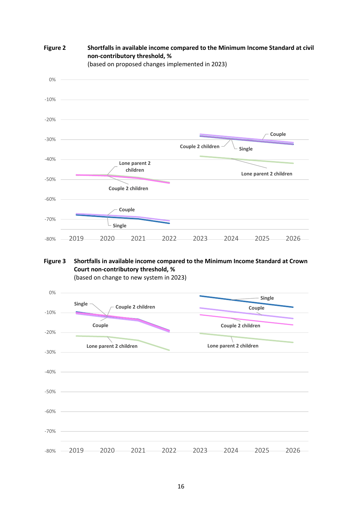

**Figure 2 Shortfalls in available income compared to the Minimum Income Standard at civil non-contributory threshold, %**

**Figure 3 Shortfalls in available income compared to the Minimum Income Standard at Crown Court non-contributory threshold, %**



(based on change to new system in 2023)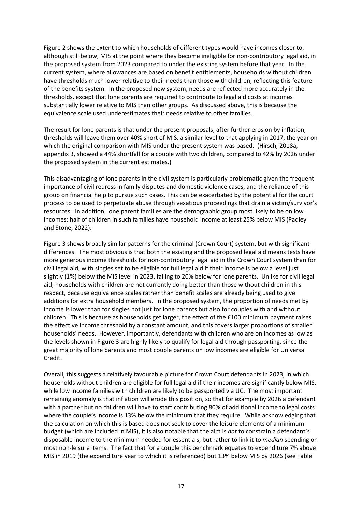Figure 2 shows the extent to which households of different types would have incomes closer to, although still below, MIS at the point where they become ineligible for non-contributory legal aid, in the proposed system from 2023 compared to under the existing system before that year. In the current system, where allowances are based on benefit entitlements, households without children have thresholds much lower relative to their needs than those with children, reflecting this feature of the benefits system. In the proposed new system, needs are reflected more accurately in the thresholds, except that lone parents are required to contribute to legal aid costs at incomes substantially lower relative to MIS than other groups. As discussed above, this is because the equivalence scale used underestimates their needs relative to other families.

The result for lone parents is that under the present proposals, after further erosion by inflation, thresholds will leave them over 40% short of MIS, a similar level to that applying in 2017, the year on which the original comparison with MIS under the present system was based. (Hirsch, 2018a, appendix 3, showed a 44% shortfall for a couple with two children, compared to 42% by 2026 under the proposed system in the current estimates.)

This disadvantaging of lone parents in the civil system is particularly problematic given the frequent importance of civil redress in family disputes and domestic violence cases, and the reliance of this group on financial help to pursue such cases. This can be exacerbated by the potential for the court process to be used to perpetuate abuse through vexatious proceedings that drain a victim/survivor's resources. In addition, lone parent families are the demographic group most likely to be on low incomes: half of children in such families have household income at least 25% below MIS (Padley and Stone, 2022).

Figure 3 shows broadly similar patterns for the criminal (Crown Court) system, but with significant differences. The most obvious is that both the existing and the proposed legal aid means tests have more generous income thresholds for non-contributory legal aid in the Crown Court system than for civil legal aid, with singles set to be eligible for full legal aid if their income is below a level just slightly (1%) below the MIS level in 2023, falling to 20% below for lone parents. Unlike for civil legal aid, households with children are not currently doing better than those without children in this respect, because equivalence scales rather than benefit scales are already being used to give additions for extra household members. In the proposed system, the proportion of needs met by income is lower than for singles not just for lone parents but also for couples with and without children. This is because as households get larger, the effect of the £100 minimum payment raises the effective income threshold by a constant amount, and this covers larger proportions of smaller households' needs. However, importantly, defendants with children who are on incomes as low as the levels shown in Figure 3 are highly likely to qualify for legal aid through passporting, since the great majority of lone parents and most couple parents on low incomes are eligible for Universal Credit.

Overall, this suggests a relatively favourable picture for Crown Court defendants in 2023, in which households without children are eligible for full legal aid if their incomes are significantly below MIS, while low income families with children are likely to be passported via UC. The most important remaining anomaly is that inflation will erode this position, so that for example by 2026 a defendant with a partner but no children will have to start contributing 80% of additional income to legal costs where the couple's income is 13% below the minimum that they require. While acknowledging that the calculation on which this is based does not seek to cover the leisure elements of a minimum budget (which are included in MIS), it is also notable that the aim is *not* to constrain a defendant's disposable income to the minimum needed for essentials, but rather to link it to *median* spending on most non-leisure items. The fact that for a couple this benchmark equates to expenditure 7% above MIS in 2019 (the expenditure year to which it is referenced) but 13% below MIS by 2026 (see Table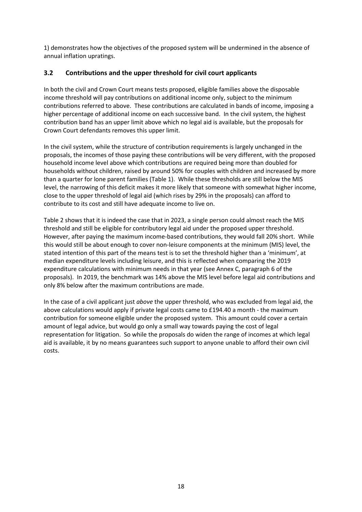1) demonstrates how the objectives of the proposed system will be undermined in the absence of annual inflation upratings.

#### <span id="page-20-0"></span>**3.2 Contributions and the upper threshold for civil court applicants**

In both the civil and Crown Court means tests proposed, eligible families above the disposable income threshold will pay contributions on additional income only, subject to the minimum contributions referred to above. These contributions are calculated in bands of income, imposing a higher percentage of additional income on each successive band. In the civil system, the highest contribution band has an upper limit above which no legal aid is available, but the proposals for Crown Court defendants removes this upper limit.

In the civil system, while the structure of contribution requirements is largely unchanged in the proposals, the incomes of those paying these contributions will be very different, with the proposed household income level above which contributions are required being more than doubled for households without children, raised by around 50% for couples with children and increased by more than a quarter for lone parent families (Table 1). While these thresholds are still below the MIS level, the narrowing of this deficit makes it more likely that someone with somewhat higher income, close to the upper threshold of legal aid (which rises by 29% in the proposals) can afford to contribute to its cost and still have adequate income to live on.

Table 2 shows that it is indeed the case that in 2023, a single person could almost reach the MIS threshold and still be eligible for contributory legal aid under the proposed upper threshold. However, after paying the maximum income-based contributions, they would fall 20% short. While this would still be about enough to cover non-leisure components at the minimum (MIS) level, the stated intention of this part of the means test is to set the threshold higher than a 'minimum', at median expenditure levels including leisure, and this is reflected when comparing the 2019 expenditure calculations with minimum needs in that year (see Annex C, paragraph 6 of the proposals). In 2019, the benchmark was 14% above the MIS level before legal aid contributions and only 8% below after the maximum contributions are made.

In the case of a civil applicant just *above* the upper threshold, who was excluded from legal aid, the above calculations would apply if private legal costs came to £194.40 a month - the maximum contribution for someone eligible under the proposed system. This amount could cover a certain amount of legal advice, but would go only a small way towards paying the cost of legal representation for litigation. So while the proposals do widen the range of incomes at which legal aid is available, it by no means guarantees such support to anyone unable to afford their own civil costs.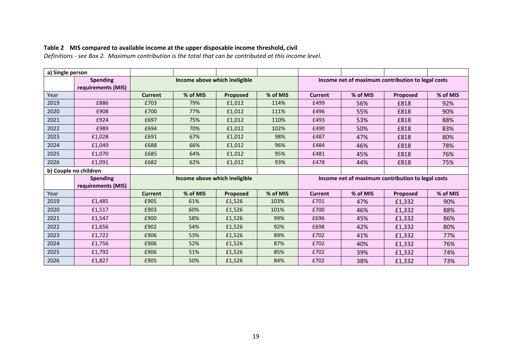# **Table 2 MIS compared to available income at the upper disposable income threshold, civil**

*Definitions - see Box 2. Maximum contribution is the total that can be contributed at this income level.*

| a) Single person                      |                                       |                                                                                    |                               |                 |          |                                                   |          |          |          |
|---------------------------------------|---------------------------------------|------------------------------------------------------------------------------------|-------------------------------|-----------------|----------|---------------------------------------------------|----------|----------|----------|
| <b>Spending</b><br>requirements (MIS) |                                       |                                                                                    | Income above which ineligible |                 |          | Income net of maximum contribution to legal costs |          |          |          |
| Year                                  |                                       | <b>Current</b>                                                                     | % of MIS                      | Proposed        | % of MIS | <b>Current</b>                                    | % of MIS | Proposed | % of MIS |
| 2019                                  | £886                                  | £703                                                                               | 79%                           | £1,012          | 114%     | £499                                              | 56%      | £818     | 92%      |
| 2020                                  | £908                                  | £700                                                                               | 77%                           | £1,012          | 111%     | £496                                              | 55%      | £818     | 90%      |
| 2021                                  | £924                                  | £697                                                                               | 75%                           | £1,012          | 110%     | £493                                              | 53%      | £818     | 88%      |
| 2022                                  | £989                                  | £694                                                                               | 70%                           | £1,012          | 102%     | £490                                              | 50%      | £818     | 83%      |
| 2023                                  | £1,028                                | £691                                                                               | 67%                           | £1,012          | 98%      | £487                                              | 47%      | £818     | 80%      |
| 2024                                  | £1,049                                | £688                                                                               | 66%                           | £1,012          | 96%      | £484                                              | 46%      | £818     | 78%      |
| 2025                                  | £1,070                                | £685                                                                               | 64%                           | £1,012          | 95%      | £481                                              | 45%      | £818     | 76%      |
| 2026                                  | £1,091                                | £682                                                                               | 62%                           | £1,012          | 93%      | £478                                              | 44%      | £818     | 75%      |
|                                       | b) Couple no children                 |                                                                                    |                               |                 |          |                                                   |          |          |          |
|                                       | <b>Spending</b><br>requirements (MIS) | Income net of maximum contribution to legal costs<br>Income above which ineligible |                               |                 |          |                                                   |          |          |          |
| Year                                  |                                       | <b>Current</b>                                                                     | % of MIS                      | <b>Proposed</b> | % of MIS | <b>Current</b>                                    | % of MIS | Proposed | % of MIS |
| 2019                                  | £1,485                                | £905                                                                               | 61%                           | £1,526          | 103%     | £701                                              | 47%      | £1,332   | 90%      |
| 2020                                  | £1,517                                | £903                                                                               | 60%                           | £1,526          | 101%     | £700                                              | 46%      | £1,332   | 88%      |
| 2021                                  | £1,547                                | £900                                                                               | 58%                           | £1,526          | 99%      | £696                                              | 45%      | £1,332   | 86%      |
| 2022                                  | £1,656                                | £902                                                                               | 54%                           | £1,526          | 92%      | £698                                              | 42%      | £1,332   | 80%      |
| 2023                                  | £1,722                                | £906                                                                               | 53%                           | £1,526          | 89%      | £702                                              | 41%      | £1,332   | 77%      |
| 2024                                  | £1,756                                | £906                                                                               | 52%                           | £1,526          | 87%      | £702                                              | 40%      | £1,332   | 76%      |
| 2025                                  | £1,792                                | £906                                                                               | 51%                           | £1,526          | 85%      | £702                                              | 39%      | £1,332   | 74%      |
| 2026                                  | £1,827                                | £905                                                                               | 50%                           | £1,526          | 84%      | £702                                              | 38%      | £1,332   | 73%      |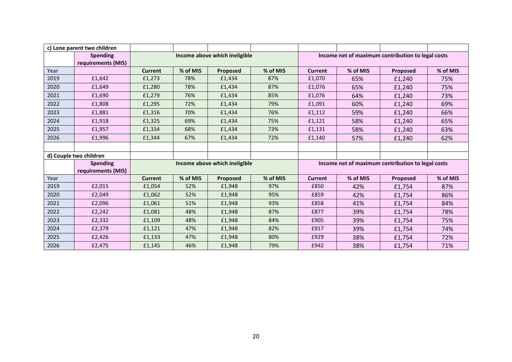|              | c) Lone parent two children           |                          |                 |                               |                 |                                                   |                 |                                                   |                 |
|--------------|---------------------------------------|--------------------------|-----------------|-------------------------------|-----------------|---------------------------------------------------|-----------------|---------------------------------------------------|-----------------|
|              | <b>Spending</b><br>requirements (MIS) |                          |                 | Income above which ineligible |                 | Income net of maximum contribution to legal costs |                 |                                                   |                 |
| Year         |                                       | <b>Current</b>           | % of MIS        | Proposed                      | % of MIS        | <b>Current</b>                                    | % of MIS        | Proposed                                          | % of MIS        |
| 2019         | £1,642                                | £1,273                   | 78%             | £1,434                        | 87%             | £1,070                                            | 65%             | £1,240                                            | 75%             |
| 2020         | £1,649                                | £1,280                   | 78%             | £1,434                        | 87%             | £1,076                                            | 65%             | £1,240                                            | 75%             |
| 2021         | £1,690                                | £1,279                   | 76%             | £1,434                        | 85%             | £1,076                                            | 64%             | £1,240                                            | 73%             |
| 2022         | £1,808                                | £1,295                   | 72%             | £1,434                        | 79%             | £1,091                                            | 60%             | £1,240                                            | 69%             |
| 2023         | £1,881                                | £1,316                   | 70%             | £1,434                        | 76%             | £1,112                                            | 59%             | £1,240                                            | 66%             |
| 2024         | £1,918                                | £1,325                   | 69%             | £1,434                        | 75%             | £1,121                                            | 58%             | £1,240                                            | 65%             |
| 2025         | £1,957                                | £1,334                   | 68%             | £1,434                        | 73%             | £1,131                                            | 58%             | £1,240                                            | 63%             |
| 2026         | £1,996                                | £1,344                   | 67%             | £1,434                        | 72%             | £1,140                                            | 57%             | £1,240                                            | 62%             |
|              |                                       |                          |                 |                               |                 |                                                   |                 |                                                   |                 |
|              | d) Couple two children                |                          |                 |                               |                 |                                                   |                 |                                                   |                 |
|              | <b>Spending</b>                       |                          |                 | Income above which ineligible |                 |                                                   |                 | Income net of maximum contribution to legal costs |                 |
|              | requirements (MIS)                    |                          |                 |                               |                 |                                                   |                 |                                                   |                 |
| Year<br>2019 | £2,015                                | <b>Current</b><br>£1,054 | % of MIS<br>52% | <b>Proposed</b><br>£1,948     | % of MIS<br>97% | <b>Current</b><br>£850                            | % of MIS<br>42% | <b>Proposed</b>                                   | % of MIS<br>87% |
|              |                                       |                          |                 |                               |                 |                                                   |                 | £1,754                                            |                 |
| 2020         | £2,049                                | £1,062                   | 52%             | £1,948                        | 95%             | £859                                              | 42%             | £1,754                                            | 86%             |
| 2021         | £2,096                                | £1,061                   | 51%             | £1,948                        | 93%             | £858                                              | 41%             | £1,754                                            | 84%             |
| 2022         | £2,242                                | £1,081                   | 48%             | £1,948                        | 87%             | £877                                              | 39%             | £1,754                                            | 78%             |
| 2023         | £2,332                                | £1,109                   | 48%             | £1,948                        | 84%             | £905                                              | 39%             | £1,754                                            | 75%             |
| 2024         | £2,379                                | £1,121                   | 47%             | £1,948                        | 82%             | £917                                              | 39%             | £1,754                                            | 74%             |
| 2025         | £2,426                                | £1,133                   | 47%             | £1,948                        | 80%             | £929                                              | 38%             | £1,754                                            | 72%             |
| 2026         | £2,475                                | £1,145                   | 46%             | £1,948                        | 79%             | £942                                              | 38%             | £1,754                                            | 71%             |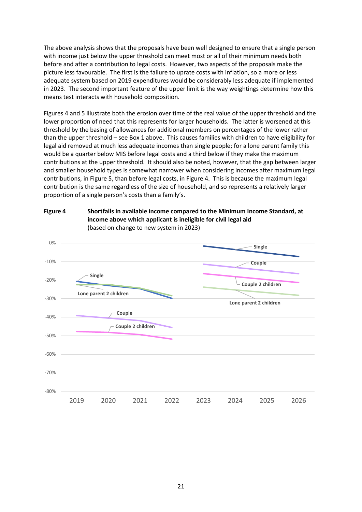The above analysis shows that the proposals have been well designed to ensure that a single person with income just below the upper threshold can meet most or all of their minimum needs both before and after a contribution to legal costs. However, two aspects of the proposals make the picture less favourable. The first is the failure to uprate costs with inflation, so a more or less adequate system based on 2019 expenditures would be considerably less adequate if implemented in 2023. The second important feature of the upper limit is the way weightings determine how this means test interacts with household composition.

Figures 4 and 5 illustrate both the erosion over time of the real value of the upper threshold and the lower proportion of need that this represents for larger households. The latter is worsened at this threshold by the basing of allowances for additional members on percentages of the lower rather than the upper threshold – see Box 1 above. This causes families with children to have eligibility for legal aid removed at much less adequate incomes than single people; for a lone parent family this would be a quarter below MIS before legal costs and a third below if they make the maximum contributions at the upper threshold. It should also be noted, however, that the gap between larger and smaller household types is somewhat narrower when considering incomes after maximum legal contributions, in Figure 5, than before legal costs, in Figure 4. This is because the maximum legal contribution is the same regardless of the size of household, and so represents a relatively larger proportion of a single person's costs than a family's.



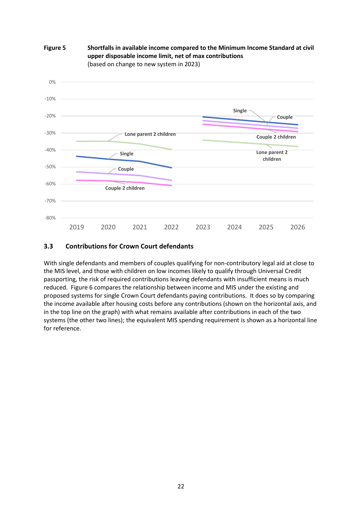

#### **Figure 5 Shortfalls in available income compared to the Minimum Income Standard at civil upper disposable income limit, net of max contributions** (based on change to new system in 2023)

## <span id="page-24-0"></span>**3.3 Contributions for Crown Court defendants**

With single defendants and members of couples qualifying for non-contributory legal aid at close to the MIS level, and those with children on low incomes likely to qualify through Universal Credit passporting, the risk of required contributions leaving defendants with insufficient means is much reduced. Figure 6 compares the relationship between income and MIS under the existing and proposed systems for single Crown Court defendants paying contributions. It does so by comparing the income available after housing costs before any contributions (shown on the horizontal axis, and in the top line on the graph) with what remains available after contributions in each of the two systems (the other two lines); the equivalent MIS spending requirement is shown as a horizontal line for reference.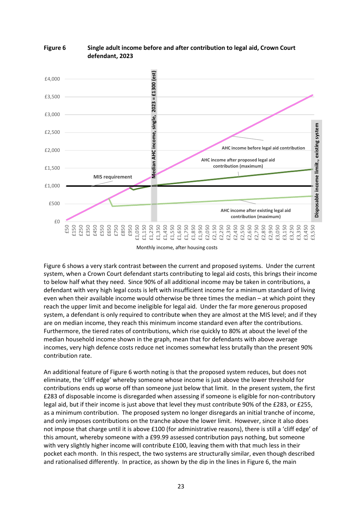

#### **Figure 6 Single adult income before and after contribution to legal aid, Crown Court defendant, 2023**

Monthly income, after housing costs

Figure 6 shows a very stark contrast between the current and proposed systems. Under the current system, when a Crown Court defendant starts contributing to legal aid costs, this brings their income to below half what they need. Since 90% of all additional income may be taken in contributions, a defendant with very high legal costs is left with insufficient income for a minimum standard of living even when their available income would otherwise be three times the median – at which point they reach the upper limit and become ineligible for legal aid. Under the far more generous proposed system, a defendant is only required to contribute when they are almost at the MIS level; and if they are on median income, they reach this minimum income standard even after the contributions. Furthermore, the tiered rates of contributions, which rise quickly to 80% at about the level of the median household income shown in the graph, mean that for defendants with above average incomes, very high defence costs reduce net incomes somewhat less brutally than the present 90% contribution rate.

An additional feature of Figure 6 worth noting is that the proposed system reduces, but does not eliminate, the 'cliff edge' whereby someone whose income is just above the lower threshold for contributions ends up worse off than someone just below that limit. In the present system, the first £283 of disposable income is disregarded when assessing if someone is eligible for non-contributory legal aid, but if their income is just above that level they must contribute 90% of the £283, or £255, as a minimum contribution. The proposed system no longer disregards an initial tranche of income, and only imposes contributions on the tranche above the lower limit. However, since it also does not impose that charge until it is above £100 (for administrative reasons), there is still a 'cliff edge' of this amount, whereby someone with a £99.99 assessed contribution pays nothing, but someone with very slightly higher income will contribute £100, leaving them with that much less in their pocket each month. In this respect, the two systems are structurally similar, even though described and rationalised differently. In practice, as shown by the dip in the lines in Figure 6, the main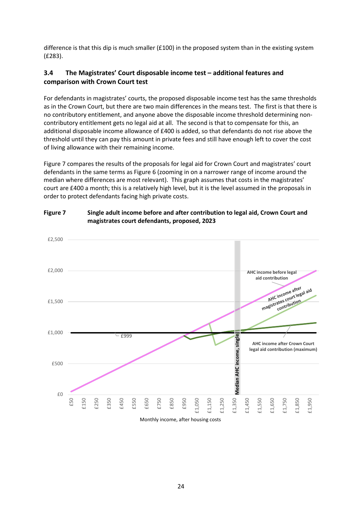difference is that this dip is much smaller (£100) in the proposed system than in the existing system (£283).

# <span id="page-26-0"></span>**3.4 The Magistrates' Court disposable income test – additional features and comparison with Crown Court test**

For defendants in magistrates' courts, the proposed disposable income test has the same thresholds as in the Crown Court, but there are two main differences in the means test. The first is that there is no contributory entitlement, and anyone above the disposable income threshold determining noncontributory entitlement gets no legal aid at all. The second is that to compensate for this, an additional disposable income allowance of £400 is added, so that defendants do not rise above the threshold until they can pay this amount in private fees and still have enough left to cover the cost of living allowance with their remaining income.

Figure 7 compares the results of the proposals for legal aid for Crown Court and magistrates' court defendants in the same terms as Figure 6 (zooming in on a narrower range of income around the median where differences are most relevant). This graph assumes that costs in the magistrates' court are £400 a month; this is a relatively high level, but it is the level assumed in the proposals in order to protect defendants facing high private costs.



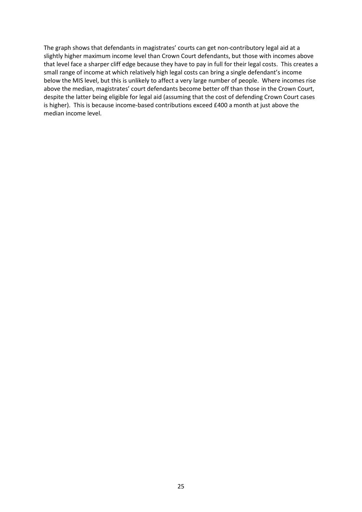The graph shows that defendants in magistrates' courts can get non-contributory legal aid at a slightly higher maximum income level than Crown Court defendants, but those with incomes above that level face a sharper cliff edge because they have to pay in full for their legal costs. This creates a small range of income at which relatively high legal costs can bring a single defendant's income below the MIS level, but this is unlikely to affect a very large number of people. Where incomes rise above the median, magistrates' court defendants become better off than those in the Crown Court, despite the latter being eligible for legal aid (assuming that the cost of defending Crown Court cases is higher). This is because income-based contributions exceed £400 a month at just above the median income level.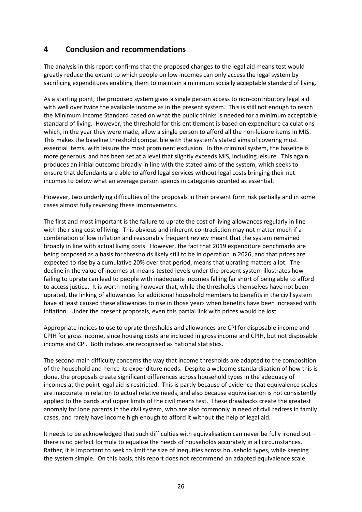# <span id="page-28-0"></span>**4 Conclusion and recommendations**

The analysis in this report confirms that the proposed changes to the legal aid means test would greatly reduce the extent to which people on low incomes can only access the legal system by sacrificing expenditures enabling them to maintain a minimum socially acceptable standard of living.

As a starting point, the proposed system gives a single person access to non-contributory legal aid with well over twice the available income as in the present system. This is still not enough to reach the Minimum Income Standard based on what the public thinks is needed for a minimum acceptable standard of living. However, the threshold for this entitlement is based on expenditure calculations which, in the year they were made, allow a single person to afford all the non-leisure items in MIS. This makes the baseline threshold compatible with the system's stated aims of covering most essential items, with leisure the most prominent exclusion. In the criminal system, the baseline is more generous, and has been set at a level that slightly exceeds MIS, including leisure. This again produces an initial outcome broadly in line with the stated aims of the system, which seeks to ensure that defendants are able to afford legal services without legal costs bringing their net incomes to below what an average person spends in categories counted as essential.

However, two underlying difficulties of the proposals in their present form risk partially and in some cases almost fully reversing these improvements.

The first and most important is the failure to uprate the cost of living allowances regularly in line with the rising cost of living. This obvious and inherent contradiction may not matter much if a combination of low inflation and reasonably frequent review meant that the system remained broadly in line with actual living costs. However, the fact that 2019 expenditure benchmarks are being proposed as a basis for thresholds likely still to be in operation in 2026, and that prices are expected to rise by a cumulative 20% over that period, means that uprating matters a lot. The decline in the value of incomes at means-tested levels under the present system illustrates how failing to uprate can lead to people with inadequate incomes falling far short of being able to afford to access justice. It is worth noting however that, while the thresholds themselves have not been uprated, the linking of allowances for additional household members to benefits in the civil system have at least caused these allowances to rise in those years when benefits have been increased with inflation. Under the present proposals, even this partial link with prices would be lost.

Appropriate indices to use to uprate thresholds and allowances are CPI for disposable income and CPIH for gross income, since housing costs are included in gross income and CPIH, but not disposable income and CPI. Both indices are recognised as national statistics.

The second main difficulty concerns the way that income thresholds are adapted to the composition of the household and hence its expenditure needs. Despite a welcome standardisation of how this is done, the proposals create significant differences across household types in the adequacy of incomes at the point legal aid is restricted. This is partly because of evidence that equivalence scales are inaccurate in relation to actual relative needs, and also because equivalisation is not consistently applied to the bands and upper limits of the civil means test. These drawbacks create the greatest anomaly for lone parents in the civil system, who are also commonly in need of civil redress in family cases, and rarely have income high enough to afford it without the help of legal aid.

It needs to be acknowledged that such difficulties with equivalisation can never be fully ironed out – there is no perfect formula to equalise the needs of households accurately in all circumstances. Rather, it is important to seek to limit the size of inequities across household types, while keeping the system simple. On this basis, this report does not recommend an adapted equivalence scale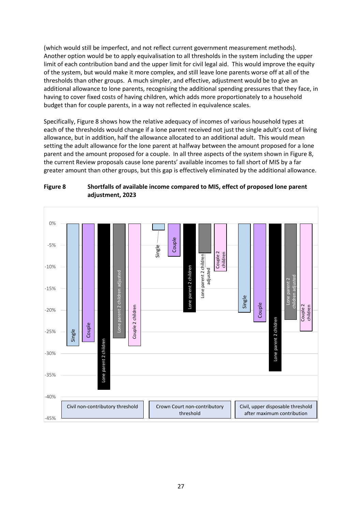(which would still be imperfect, and not reflect current government measurement methods). Another option would be to apply equivalisation to all thresholds in the system including the upper limit of each contribution band and the upper limit for civil legal aid. This would improve the equity of the system, but would make it more complex, and still leave lone parents worse off at all of the thresholds than other groups. A much simpler, and effective, adjustment would be to give an additional allowance to lone parents, recognising the additional spending pressures that they face, in having to cover fixed costs of having children, which adds more proportionately to a household budget than for couple parents, in a way not reflected in equivalence scales.

Specifically, Figure 8 shows how the relative adequacy of incomes of various household types at each of the thresholds would change if a lone parent received not just the single adult's cost of living allowance, but in addition, half the allowance allocated to an additional adult. This would mean setting the adult allowance for the lone parent at halfway between the amount proposed for a lone parent and the amount proposed for a couple. In all three aspects of the system shown in Figure 8, the current Review proposals cause lone parents' available incomes to fall short of MIS by a far greater amount than other groups, but this gap is effectively eliminated by the additional allowance.



**Figure 8 Shortfalls of available income compared to MIS, effect of proposed lone parent adjustment, 2023**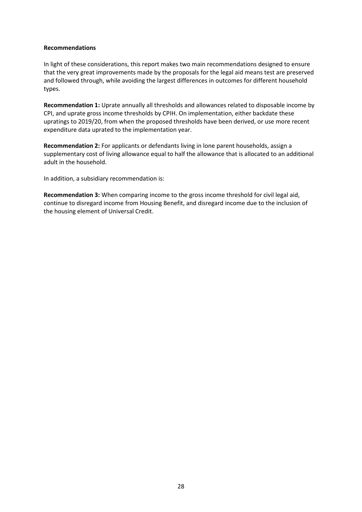#### **Recommendations**

In light of these considerations, this report makes two main recommendations designed to ensure that the very great improvements made by the proposals for the legal aid means test are preserved and followed through, while avoiding the largest differences in outcomes for different household types.

**Recommendation 1:** Uprate annually all thresholds and allowances related to disposable income by CPI, and uprate gross income thresholds by CPIH. On implementation, either backdate these upratings to 2019/20, from when the proposed thresholds have been derived, or use more recent expenditure data uprated to the implementation year.

**Recommendation 2:** For applicants or defendants living in lone parent households, assign a supplementary cost of living allowance equal to half the allowance that is allocated to an additional adult in the household.

In addition, a subsidiary recommendation is:

**Recommendation 3:** When comparing income to the gross income threshold for civil legal aid, continue to disregard income from Housing Benefit, and disregard income due to the inclusion of the housing element of Universal Credit.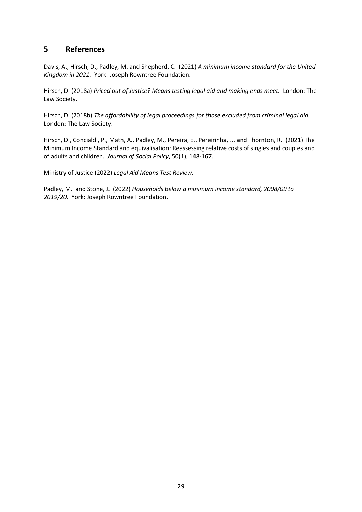# <span id="page-31-0"></span>**5 References**

Davis, A., Hirsch, D., Padley, M. and Shepherd, C. (2021) *A minimum income standard for the United Kingdom in 2021*. York: Joseph Rowntree Foundation.

Hirsch, D. (2018a) *Priced out of Justice? Means testing legal aid and making ends meet.* London: The Law Society.

Hirsch, D. (2018b) *The affordability of legal proceedings for those excluded from criminal legal aid.*  London: The Law Society.

Hirsch, D., Concialdi, P., Math, A., Padley, M., Pereira, E., Pereirinha, J., and Thornton, R. (2021) The Minimum Income Standard and equivalisation: Reassessing relative costs of singles and couples and of adults and children. *Journal of Social Policy*, 50(1), 148-167.

Ministry of Justice (2022) *Legal Aid Means Test Review.*

Padley, M. and Stone, J. (2022) *Households below a minimum income standard, 2008/09 to 2019/20*. York: Joseph Rowntree Foundation.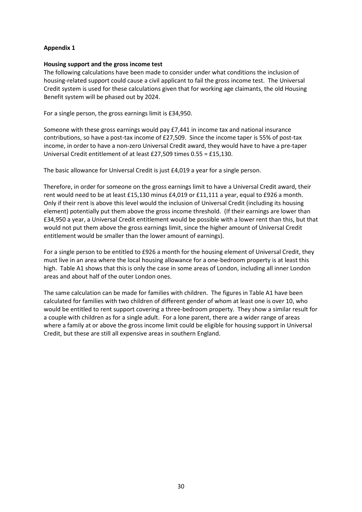#### **Appendix 1**

#### **Housing support and the gross income test**

The following calculations have been made to consider under what conditions the inclusion of housing-related support could cause a civil applicant to fail the gross income test. The Universal Credit system is used for these calculations given that for working age claimants, the old Housing Benefit system will be phased out by 2024.

For a single person, the gross earnings limit is £34,950.

Someone with these gross earnings would pay £7,441 in income tax and national insurance contributions, so have a post-tax income of £27,509. Since the income taper is 55% of post-tax income, in order to have a non-zero Universal Credit award, they would have to have a pre-taper Universal Credit entitlement of at least £27,509 times 0.55 = £15,130.

The basic allowance for Universal Credit is just £4,019 a year for a single person.

Therefore, in order for someone on the gross earnings limit to have a Universal Credit award, their rent would need to be at least £15,130 minus £4,019 or £11,111 a year, equal to £926 a month. Only if their rent is above this level would the inclusion of Universal Credit (including its housing element) potentially put them above the gross income threshold. (If their earnings are lower than £34,950 a year, a Universal Credit entitlement would be possible with a lower rent than this, but that would not put them above the gross earnings limit, since the higher amount of Universal Credit entitlement would be smaller than the lower amount of earnings).

For a single person to be entitled to £926 a month for the housing element of Universal Credit, they must live in an area where the local housing allowance for a one-bedroom property is at least this high. Table A1 shows that this is only the case in some areas of London, including all inner London areas and about half of the outer London ones.

The same calculation can be made for families with children. The figures in Table A1 have been calculated for families with two children of different gender of whom at least one is over 10, who would be entitled to rent support covering a three-bedroom property. They show a similar result for a couple with children as for a single adult. For a lone parent, there are a wider range of areas where a family at or above the gross income limit could be eligible for housing support in Universal Credit, but these are still all expensive areas in southern England.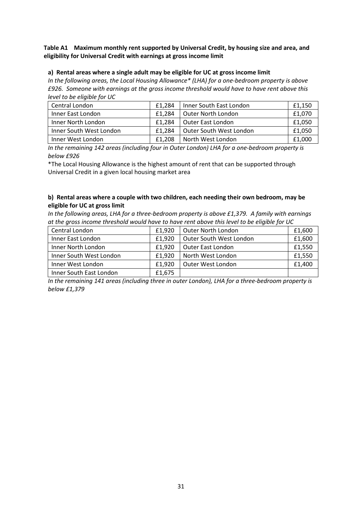#### **Table A1 Maximum monthly rent supported by Universal Credit, by housing size and area, and eligibility for Universal Credit with earnings at gross income limit**

#### **a) Rental areas where a single adult may be eligible for UC at gross income limit**

*In the following areas, the Local Housing Allowance\* (LHA) for a one-bedroom property is above £926. Someone with earnings at the gross income threshold would have to have rent above this level to be eligible for UC*

| Central London          | £1.284 | Inner South East London | £1,150 |
|-------------------------|--------|-------------------------|--------|
| Inner East London       | £1.284 | Outer North London      | £1,070 |
| Inner North London      | £1.284 | l Outer East London     | £1,050 |
| Inner South West London | £1.284 | Outer South West London | £1,050 |
| Inner West London       | £1.208 | North West London       | £1,000 |

*In the remaining 142 areas (including four in Outer London) LHA for a one-bedroom property is below £926*

\*The Local Housing Allowance is the highest amount of rent that can be supported through Universal Credit in a given local housing market area

#### **b) Rental areas where a couple with two children, each needing their own bedroom, may be eligible for UC at gross limit**

*In the following areas, LHA for a three-bedroom property is above £1,379. A family with earnings at the gross income threshold would have to have rent above this level to be eligible for UC*

| Central London          | £1,920 | Outer North London      | £1,600 |
|-------------------------|--------|-------------------------|--------|
| Inner East London       | £1,920 | Outer South West London | £1,600 |
| Inner North London      | £1,920 | Outer East London       | £1,550 |
| Inner South West London | £1,920 | North West London       | £1,550 |
| Inner West London       | £1,920 | Outer West London       | £1,400 |
| Inner South East London | £1,675 |                         |        |

*In the remaining 141 areas (including three in outer London), LHA for a three-bedroom property is below £1,379*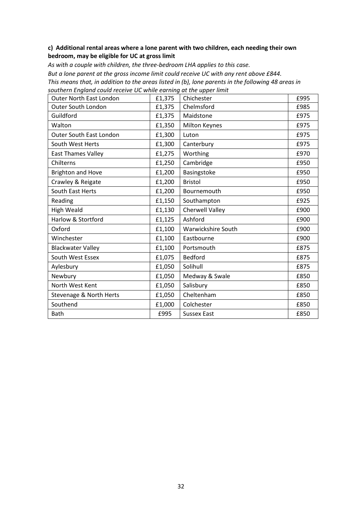#### **c) Additional rental areas where a lone parent with two children, each needing their own bedroom, may be eligible for UC at gross limit**

*As with a couple with children, the three-bedroom LHA applies to this case. But a lone parent at the gross income limit could receive UC with any rent above £844. This means that, in addition to the areas listed in (b), lone parents in the following 48 areas in southern England could receive UC while earning at the upper limit*

| <b>Outer North East London</b> | £1,375 | Chichester             | £995 |
|--------------------------------|--------|------------------------|------|
| Outer South London             | £1,375 | Chelmsford             | £985 |
| Guildford                      | £1,375 | Maidstone              | £975 |
| Walton                         | £1,350 | <b>Milton Keynes</b>   | £975 |
| Outer South East London        | £1,300 | Luton                  | £975 |
| South West Herts               | £1,300 | Canterbury             | £975 |
| <b>East Thames Valley</b>      | £1,275 | Worthing               | £970 |
| Chilterns                      | £1,250 | Cambridge              | £950 |
| <b>Brighton and Hove</b>       | £1,200 | Basingstoke            | £950 |
| Crawley & Reigate              | £1,200 | <b>Bristol</b>         | £950 |
| South East Herts               | £1,200 | Bournemouth            | £950 |
| Reading                        | £1,150 | Southampton            | £925 |
| <b>High Weald</b>              | £1,130 | <b>Cherwell Valley</b> | £900 |
| Harlow & Stortford             | £1,125 | Ashford                | £900 |
| Oxford                         | £1,100 | Warwickshire South     | £900 |
| Winchester                     | £1,100 | Eastbourne             | £900 |
| <b>Blackwater Valley</b>       | £1,100 | Portsmouth             | £875 |
| South West Essex               | £1,075 | <b>Bedford</b>         | £875 |
| Aylesbury                      | £1,050 | Solihull               | £875 |
| Newbury                        | £1,050 | Medway & Swale         | £850 |
| North West Kent                | £1,050 | Salisbury              | £850 |
| Stevenage & North Herts        | £1,050 | Cheltenham             | £850 |
| Southend                       | £1,000 | Colchester             | £850 |
| Bath                           | £995   | <b>Sussex East</b>     | £850 |